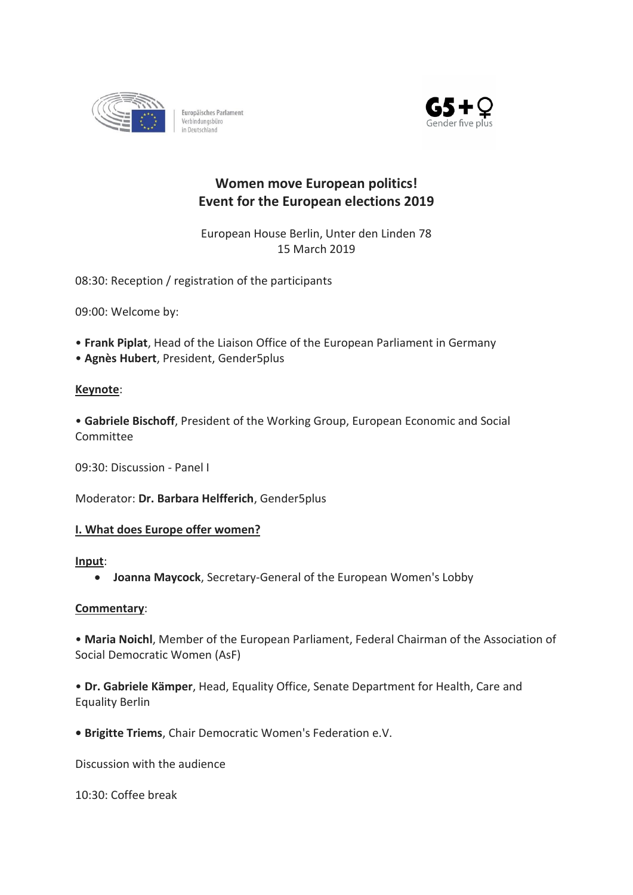

Europäisches Parlament Verbindungsbüro<br>in Deutschland



# **Women move European politics! Event for the European elections 2019**

European House Berlin, Unter den Linden 78 15 March 2019

08:30: Reception / registration of the participants

09:00: Welcome by:

- **Frank Piplat**, Head of the Liaison Office of the European Parliament in Germany
- **Agnès Hubert**, President, Gender5plus

# **Keynote**:

• **Gabriele Bischoff**, President of the Working Group, European Economic and Social Committee

09:30: Discussion - Panel I

Moderator: **Dr. Barbara Helfferich**, Gender5plus

# **I. What does Europe offer women?**

#### **Input**:

• **Joanna Maycock**, Secretary-General of the European Women's Lobby

# **Commentary**:

• **Maria Noichl**, Member of the European Parliament, Federal Chairman of the Association of Social Democratic Women (AsF)

• **Dr. Gabriele Kämper**, Head, Equality Office, Senate Department for Health, Care and Equality Berlin

**• Brigitte Triems**, Chair Democratic Women's Federation e.V.

Discussion with the audience

10:30: Coffee break